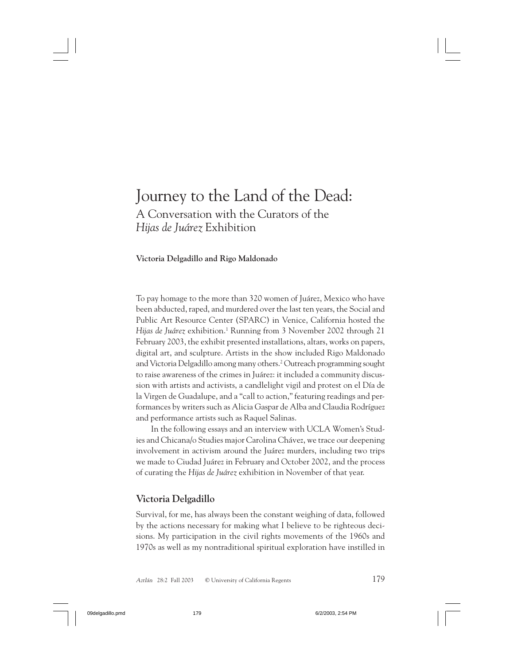# Journey to the Land of the Dead: A Conversation with the Curators of the *Hijas de Juárez* Exhibition

**Victoria Delgadillo and Rigo Maldonado**

To pay homage to the more than 320 women of Juárez, Mexico who have been abducted, raped, and murdered over the last ten years, the Social and Public Art Resource Center (SPARC) in Venice, California hosted the *Hijas de Juárez* exhibition.1 Running from 3 November 2002 through 21 February 2003, the exhibit presented installations, altars, works on papers, digital art, and sculpture. Artists in the show included Rigo Maldonado and Victoria Delgadillo among many others.<sup>2</sup> Outreach programming sought to raise awareness of the crimes in Juárez: it included a community discussion with artists and activists, a candlelight vigil and protest on el Día de la Virgen de Guadalupe, and a "call to action," featuring readings and performances by writers such as Alicia Gaspar de Alba and Claudia Rodríguez and performance artists such as Raquel Salinas.

In the following essays and an interview with UCLA Women's Studies and Chicana/o Studies major Carolina Chávez, we trace our deepening involvement in activism around the Juárez murders, including two trips we made to Ciudad Juárez in February and October 2002, and the process of curating the *Hijas de Juárez* exhibition in November of that year.

## **Victoria Delgadillo**

Survival, for me, has always been the constant weighing of data, followed by the actions necessary for making what I believe to be righteous decisions. My participation in the civil rights movements of the 1960s and 1970s as well as my nontraditional spiritual exploration have instilled in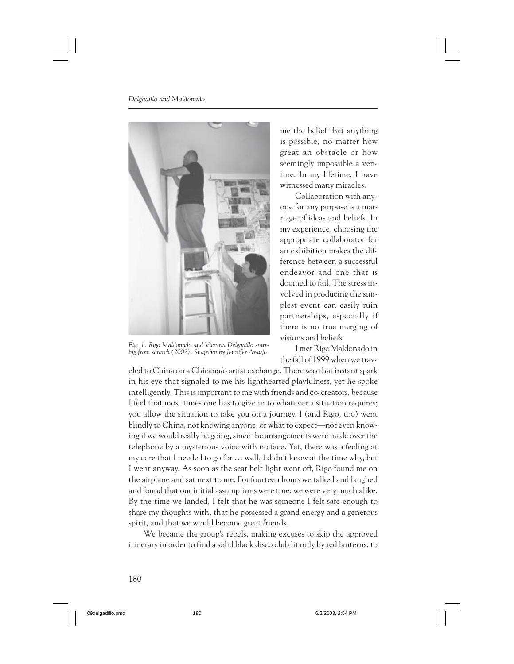

*Fig. 1. Rigo Maldonado and Victoria Delgadillo starting from scratch (2002). Snapshot by Jennifer Araujo.*

me the belief that anything is possible, no matter how great an obstacle or how seemingly impossible a venture. In my lifetime, I have witnessed many miracles.

Collaboration with anyone for any purpose is a marriage of ideas and beliefs. In my experience, choosing the appropriate collaborator for an exhibition makes the difference between a successful endeavor and one that is doomed to fail. The stress involved in producing the simplest event can easily ruin partnerships, especially if there is no true merging of visions and beliefs.

I met Rigo Maldonado in the fall of 1999 when we trav-

eled to China on a Chicana/o artist exchange. There was that instant spark in his eye that signaled to me his lighthearted playfulness, yet he spoke intelligently. This is important to me with friends and co-creators, because I feel that most times one has to give in to whatever a situation requires; you allow the situation to take you on a journey. I (and Rigo, too) went blindly to China, not knowing anyone, or what to expect—not even knowing if we would really be going, since the arrangements were made over the telephone by a mysterious voice with no face. Yet, there was a feeling at my core that I needed to go for … well, I didn't know at the time why, but I went anyway. As soon as the seat belt light went off, Rigo found me on the airplane and sat next to me. For fourteen hours we talked and laughed and found that our initial assumptions were true: we were very much alike. By the time we landed, I felt that he was someone I felt safe enough to share my thoughts with, that he possessed a grand energy and a generous spirit, and that we would become great friends.

We became the group's rebels, making excuses to skip the approved itinerary in order to find a solid black disco club lit only by red lanterns, to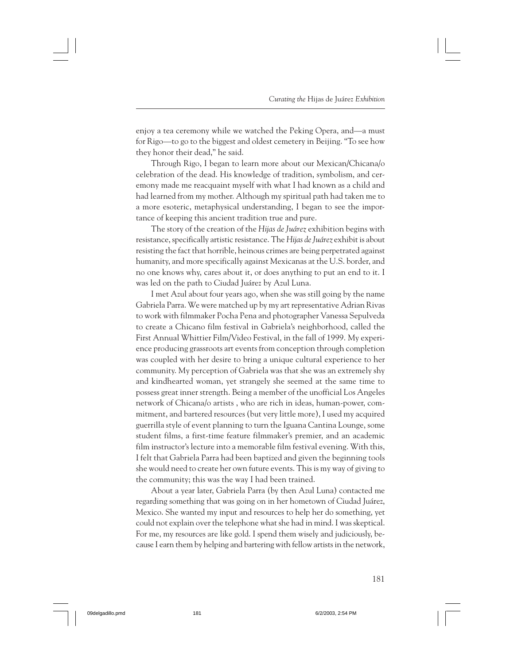enjoy a tea ceremony while we watched the Peking Opera, and—a must for Rigo—to go to the biggest and oldest cemetery in Beijing. "To see how they honor their dead," he said.

Through Rigo, I began to learn more about our Mexican/Chicana/o celebration of the dead. His knowledge of tradition, symbolism, and ceremony made me reacquaint myself with what I had known as a child and had learned from my mother. Although my spiritual path had taken me to a more esoteric, metaphysical understanding, I began to see the importance of keeping this ancient tradition true and pure.

The story of the creation of the *Hijas de Juárez* exhibition begins with resistance, specifically artistic resistance. The *Hijas de Juárez* exhibit is about resisting the fact that horrible, heinous crimes are being perpetrated against humanity, and more specifically against Mexicanas at the U.S. border, and no one knows why, cares about it, or does anything to put an end to it. I was led on the path to Ciudad Juárez by Azul Luna.

I met Azul about four years ago, when she was still going by the name Gabriela Parra. We were matched up by my art representative Adrian Rivas to work with filmmaker Pocha Pena and photographer Vanessa Sepulveda to create a Chicano film festival in Gabriela's neighborhood, called the First Annual Whittier Film/Video Festival, in the fall of 1999. My experience producing grassroots art events from conception through completion was coupled with her desire to bring a unique cultural experience to her community. My perception of Gabriela was that she was an extremely shy and kindhearted woman, yet strangely she seemed at the same time to possess great inner strength. Being a member of the unofficial Los Angeles network of Chicana/o artists , who are rich in ideas, human-power, commitment, and bartered resources (but very little more), I used my acquired guerrilla style of event planning to turn the Iguana Cantina Lounge, some student films, a first-time feature filmmaker's premier, and an academic film instructor's lecture into a memorable film festival evening. With this, I felt that Gabriela Parra had been baptized and given the beginning tools she would need to create her own future events. This is my way of giving to the community; this was the way I had been trained.

About a year later, Gabriela Parra (by then Azul Luna) contacted me regarding something that was going on in her hometown of Ciudad Juárez, Mexico. She wanted my input and resources to help her do something, yet could not explain over the telephone what she had in mind. I was skeptical. For me, my resources are like gold. I spend them wisely and judiciously, because I earn them by helping and bartering with fellow artists in the network,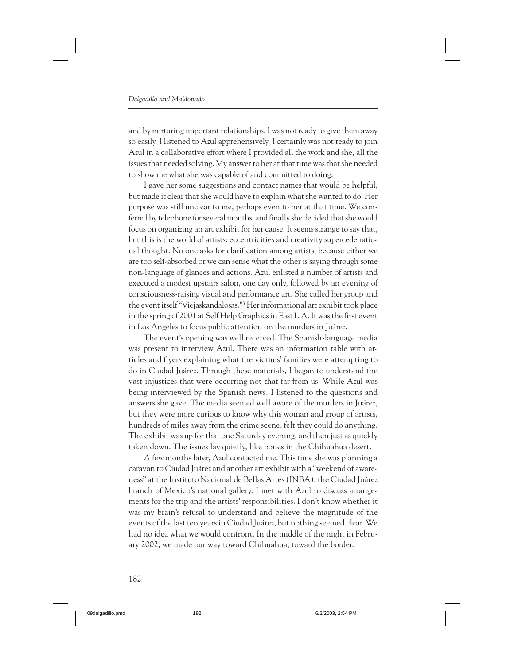and by nurturing important relationships. I was not ready to give them away so easily. I listened to Azul apprehensively. I certainly was not ready to join Azul in a collaborative effort where I provided all the work and she, all the issues that needed solving. My answer to her at that time was that she needed to show me what she was capable of and committed to doing.

I gave her some suggestions and contact names that would be helpful, but made it clear that she would have to explain what she wanted to do. Her purpose was still unclear to me, perhaps even to her at that time. We conferred by telephone for several months, and finally she decided that she would focus on organizing an art exhibit for her cause. It seems strange to say that, but this is the world of artists: eccentricities and creativity supercede rational thought. No one asks for clarification among artists, because either we are too self-absorbed or we can sense what the other is saying through some non-language of glances and actions. Azul enlisted a number of artists and executed a modest upstairs salon, one day only, followed by an evening of consciousness-raising visual and performance art. She called her group and the event itself "Viejaskandalosas."3 Her informational art exhibit took place in the spring of 2001 at Self Help Graphics in East L.A. It was the first event in Los Angeles to focus public attention on the murders in Juárez.

The event's opening was well received. The Spanish-language media was present to interview Azul. There was an information table with articles and flyers explaining what the victims' families were attempting to do in Ciudad Juárez. Through these materials, I began to understand the vast injustices that were occurring not that far from us. While Azul was being interviewed by the Spanish news, I listened to the questions and answers she gave. The media seemed well aware of the murders in Juárez, but they were more curious to know why this woman and group of artists, hundreds of miles away from the crime scene, felt they could do anything. The exhibit was up for that one Saturday evening, and then just as quickly taken down. The issues lay quietly, like bones in the Chihuahua desert.

A few months later, Azul contacted me. This time she was planning a caravan to Ciudad Juárez and another art exhibit with a "weekend of awareness" at the Instituto Nacional de Bellas Artes (INBA), the Ciudad Juárez branch of Mexico's national gallery. I met with Azul to discuss arrangements for the trip and the artists' responsibilities. I don't know whether it was my brain's refusal to understand and believe the magnitude of the events of the last ten years in Ciudad Juárez, but nothing seemed clear. We had no idea what we would confront. In the middle of the night in February 2002, we made our way toward Chihuahua, toward the border.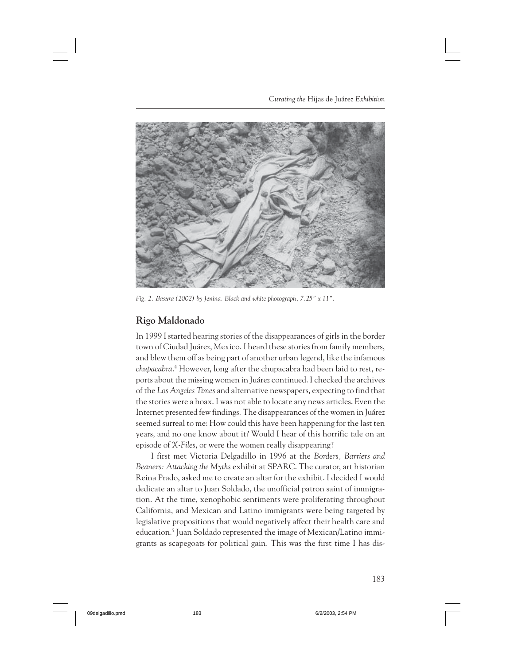*Curating the* Hijas de Juárez *Exhibition*



*Fig. 2. Basura (2002) by Jenina. Black and white photograph, 7.25" x 11".*

## **Rigo Maldonado**

In 1999 I started hearing stories of the disappearances of girls in the border town of Ciudad Juárez, Mexico. I heard these stories from family members, and blew them off as being part of another urban legend, like the infamous *chupacabra*. 4 However, long after the chupacabra had been laid to rest, reports about the missing women in Juárez continued. I checked the archives of the *Los Angeles Times* and alternative newspapers, expecting to find that the stories were a hoax. I was not able to locate any news articles. Even the Internet presented few findings. The disappearances of the women in Juárez seemed surreal to me: How could this have been happening for the last ten years, and no one know about it? Would I hear of this horrific tale on an episode of *X-Files*, or were the women really disappearing?

I first met Victoria Delgadillo in 1996 at the *Borders, Barriers and Beaners: Attacking the Myths* exhibit at SPARC. The curator, art historian Reina Prado, asked me to create an altar for the exhibit. I decided I would dedicate an altar to Juan Soldado, the unofficial patron saint of immigration. At the time, xenophobic sentiments were proliferating throughout California, and Mexican and Latino immigrants were being targeted by legislative propositions that would negatively affect their health care and education.5 Juan Soldado represented the image of Mexican/Latino immigrants as scapegoats for political gain. This was the first time I has dis-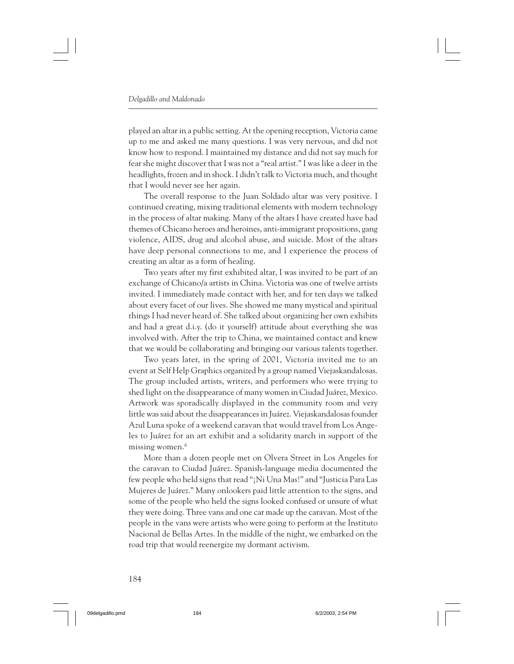played an altar in a public setting. At the opening reception, Victoria came up to me and asked me many questions. I was very nervous, and did not know how to respond. I maintained my distance and did not say much for fear she might discover that I was not a "real artist." I was like a deer in the headlights, frozen and in shock. I didn't talk to Victoria much, and thought that I would never see her again.

The overall response to the Juan Soldado altar was very positive. I continued creating, mixing traditional elements with modern technology in the process of altar making. Many of the altars I have created have had themes of Chicano heroes and heroines, anti-immigrant propositions, gang violence, AIDS, drug and alcohol abuse, and suicide. Most of the altars have deep personal connections to me, and I experience the process of creating an altar as a form of healing.

Two years after my first exhibited altar, I was invited to be part of an exchange of Chicano/a artists in China. Victoria was one of twelve artists invited. I immediately made contact with her, and for ten days we talked about every facet of our lives. She showed me many mystical and spiritual things I had never heard of. She talked about organizing her own exhibits and had a great d.i.y. (do it yourself) attitude about everything she was involved with. After the trip to China, we maintained contact and knew that we would be collaborating and bringing our various talents together.

Two years later, in the spring of 2001, Victoria invited me to an event at Self Help Graphics organized by a group named Viejaskandalosas. The group included artists, writers, and performers who were trying to shed light on the disappearance of many women in Ciudad Juárez, Mexico. Artwork was sporadically displayed in the community room and very little was said about the disappearances in Juárez. Viejaskandalosas founder Azul Luna spoke of a weekend caravan that would travel from Los Angeles to Juárez for an art exhibit and a solidarity march in support of the missing women.<sup>6</sup>

More than a dozen people met on Olvera Street in Los Angeles for the caravan to Ciudad Juárez. Spanish-language media documented the few people who held signs that read "¡Ni Una Mas!" and "Justicia Para Las Mujeres de Juárez." Many onlookers paid little attention to the signs, and some of the people who held the signs looked confused or unsure of what they were doing. Three vans and one car made up the caravan. Most of the people in the vans were artists who were going to perform at the Instituto Nacional de Bellas Artes. In the middle of the night, we embarked on the road trip that would reenergize my dormant activism.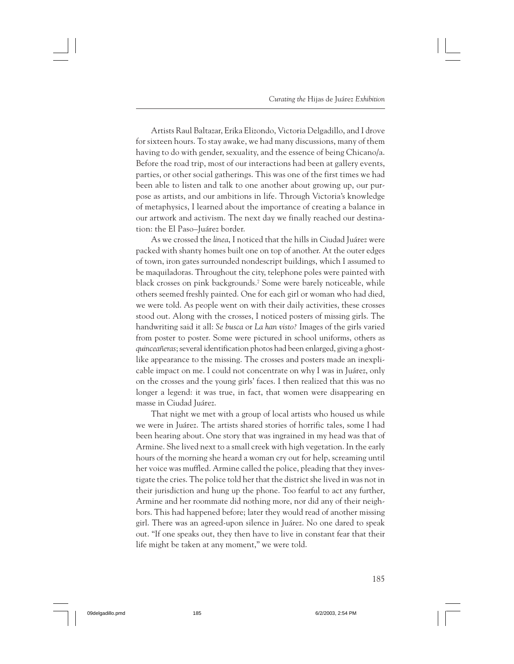Artists Raul Baltazar, Erika Elizondo, Victoria Delgadillo, and I drove for sixteen hours. To stay awake, we had many discussions, many of them having to do with gender, sexuality, and the essence of being Chicano/a. Before the road trip, most of our interactions had been at gallery events, parties, or other social gatherings. This was one of the first times we had been able to listen and talk to one another about growing up, our purpose as artists, and our ambitions in life. Through Victoria's knowledge of metaphysics, I learned about the importance of creating a balance in our artwork and activism. The next day we finally reached our destination: the El Paso–Juárez border.

As we crossed the *linea*, I noticed that the hills in Ciudad Juárez were packed with shanty homes built one on top of another. At the outer edges of town, iron gates surrounded nondescript buildings, which I assumed to be maquiladoras. Throughout the city, telephone poles were painted with black crosses on pink backgrounds.7 Some were barely noticeable, while others seemed freshly painted. One for each girl or woman who had died, we were told. As people went on with their daily activities, these crosses stood out. Along with the crosses, I noticed posters of missing girls. The handwriting said it all: *Se busca* or *La han visto?* Images of the girls varied from poster to poster. Some were pictured in school uniforms, others as *quinceañeras*; several identification photos had been enlarged, giving a ghostlike appearance to the missing. The crosses and posters made an inexplicable impact on me. I could not concentrate on why I was in Juárez, only on the crosses and the young girls' faces. I then realized that this was no longer a legend: it was true, in fact, that women were disappearing en masse in Ciudad Juárez.

That night we met with a group of local artists who housed us while we were in Juárez. The artists shared stories of horrific tales, some I had been hearing about. One story that was ingrained in my head was that of Armine. She lived next to a small creek with high vegetation. In the early hours of the morning she heard a woman cry out for help, screaming until her voice was muffled. Armine called the police, pleading that they investigate the cries. The police told her that the district she lived in was not in their jurisdiction and hung up the phone. Too fearful to act any further, Armine and her roommate did nothing more, nor did any of their neighbors. This had happened before; later they would read of another missing girl. There was an agreed-upon silence in Juárez. No one dared to speak out. "If one speaks out, they then have to live in constant fear that their life might be taken at any moment," we were told.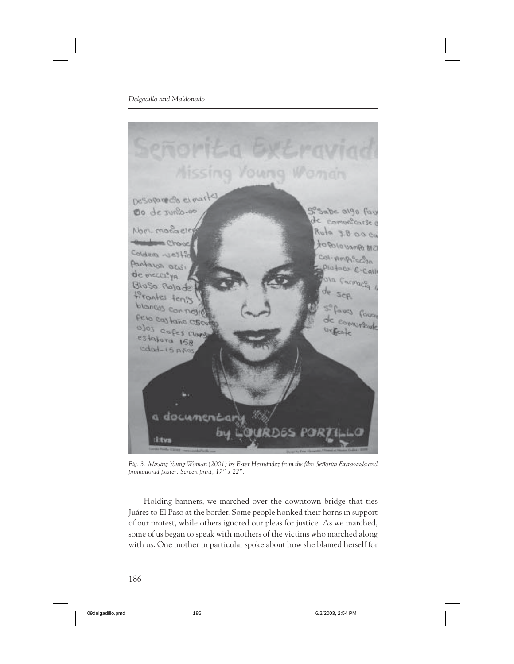

*Fig. 3. Missing Young Woman (2001) by Ester Hernández from the film Señorita Extraviada and promotional poster. Screen print, 17" x 22".*

Holding banners, we marched over the downtown bridge that ties Juárez to El Paso at the border. Some people honked their horns in support of our protest, while others ignored our pleas for justice. As we marched, some of us began to speak with mothers of the victims who marched along with us. One mother in particular spoke about how she blamed herself for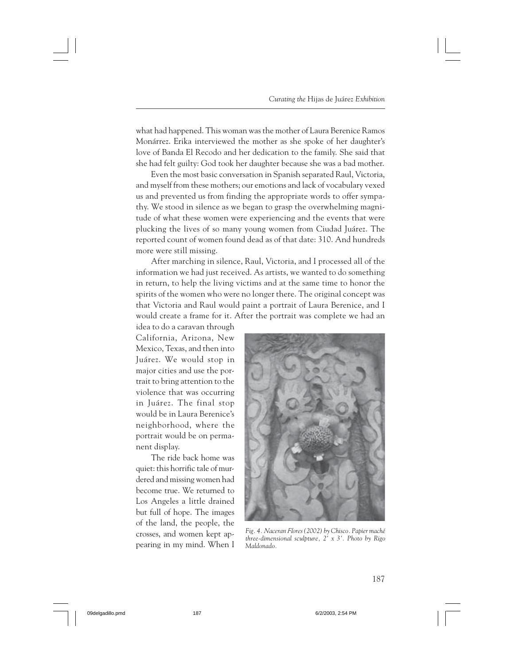what had happened. This woman was the mother of Laura Berenice Ramos Monárrez. Erika interviewed the mother as she spoke of her daughter's love of Banda El Recodo and her dedication to the family. She said that she had felt guilty: God took her daughter because she was a bad mother.

Even the most basic conversation in Spanish separated Raul, Victoria, and myself from these mothers; our emotions and lack of vocabulary vexed us and prevented us from finding the appropriate words to offer sympathy. We stood in silence as we began to grasp the overwhelming magnitude of what these women were experiencing and the events that were plucking the lives of so many young women from Ciudad Juárez. The reported count of women found dead as of that date: 310. And hundreds more were still missing.

After marching in silence, Raul, Victoria, and I processed all of the information we had just received. As artists, we wanted to do something in return, to help the living victims and at the same time to honor the spirits of the women who were no longer there. The original concept was that Victoria and Raul would paint a portrait of Laura Berenice, and I would create a frame for it. After the portrait was complete we had an

idea to do a caravan through California, Arizona, New Mexico, Texas, and then into Juárez. We would stop in major cities and use the portrait to bring attention to the violence that was occurring in Juárez. The final stop would be in Laura Berenice's neighborhood, where the portrait would be on permanent display.

The ride back home was quiet: this horrific tale of murdered and missing women had become true. We returned to Los Angeles a little drained but full of hope. The images of the land, the people, the crosses, and women kept appearing in my mind. When I



*Fig. 4. Naceran Flores (2002) by Chisco. Papier maché three-dimensional sculpture, 2' x 3'. Photo by Rigo Maldonado.*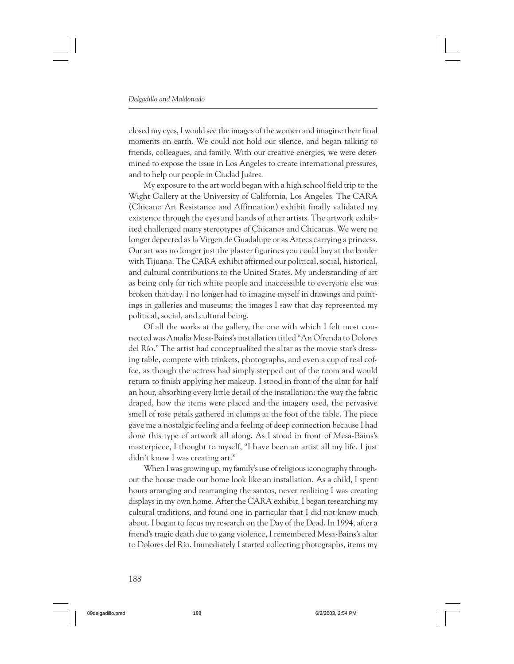closed my eyes, I would see the images of the women and imagine their final moments on earth. We could not hold our silence, and began talking to friends, colleagues, and family. With our creative energies, we were determined to expose the issue in Los Angeles to create international pressures, and to help our people in Ciudad Juárez.

My exposure to the art world began with a high school field trip to the Wight Gallery at the University of California, Los Angeles. The CARA (Chicano Art Resistance and Affirmation) exhibit finally validated my existence through the eyes and hands of other artists. The artwork exhibited challenged many stereotypes of Chicanos and Chicanas. We were no longer depected as la Virgen de Guadalupe or as Aztecs carrying a princess. Our art was no longer just the plaster figurines you could buy at the border with Tijuana. The CARA exhibit affirmed our political, social, historical, and cultural contributions to the United States. My understanding of art as being only for rich white people and inaccessible to everyone else was broken that day. I no longer had to imagine myself in drawings and paintings in galleries and museums; the images I saw that day represented my political, social, and cultural being.

Of all the works at the gallery, the one with which I felt most connected was Amalia Mesa-Bains's installation titled "An Ofrenda to Dolores del Río." The artist had conceptualized the altar as the movie star's dressing table, compete with trinkets, photographs, and even a cup of real coffee, as though the actress had simply stepped out of the room and would return to finish applying her makeup. I stood in front of the altar for half an hour, absorbing every little detail of the installation: the way the fabric draped, how the items were placed and the imagery used, the pervasive smell of rose petals gathered in clumps at the foot of the table. The piece gave me a nostalgic feeling and a feeling of deep connection because I had done this type of artwork all along. As I stood in front of Mesa-Bains's masterpiece, I thought to myself, "I have been an artist all my life. I just didn't know I was creating art."

When I was growing up, my family's use of religious iconography throughout the house made our home look like an installation. As a child, I spent hours arranging and rearranging the santos, never realizing I was creating displays in my own home. After the CARA exhibit, I began researching my cultural traditions, and found one in particular that I did not know much about. I began to focus my research on the Day of the Dead. In 1994, after a friend's tragic death due to gang violence, I remembered Mesa-Bains's altar to Dolores del Río. Immediately I started collecting photographs, items my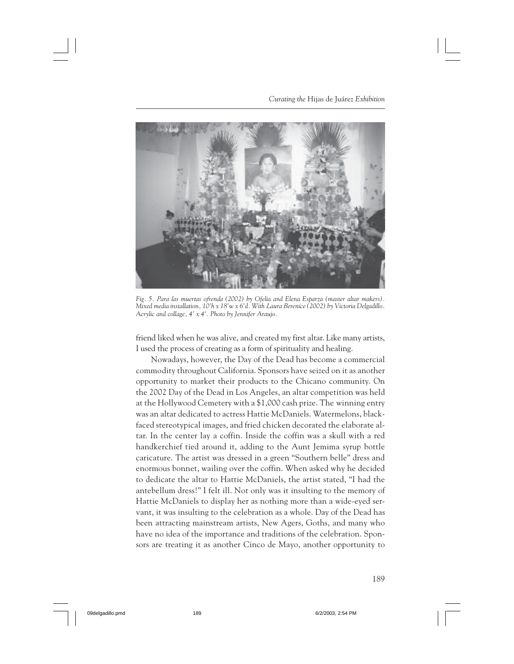*Curating the* Hijas de Juárez *Exhibition*



*Fig. 5. Para las muertas ofrenda (2002) by Ofelia and Elena Esparza (master altar makers). Mixed media installation, 10'h x 18'w x 6'd. With Laura Berenice (2002) by Victoria Delgadillo. Acrylic and collage, 4' x 4'. Photo by Jennifer Araujo.*

friend liked when he was alive, and created my first altar. Like many artists, I used the process of creating as a form of spirituality and healing.

Nowadays, however, the Day of the Dead has become a commercial commodity throughout California. Sponsors have seized on it as another opportunity to market their products to the Chicano community. On the 2002 Day of the Dead in Los Angeles, an altar competition was held at the Hollywood Cemetery with a \$1,000 cash prize. The winning entry was an altar dedicated to actress Hattie McDaniels. Watermelons, blackfaced stereotypical images, and fried chicken decorated the elaborate altar. In the center lay a coffin. Inside the coffin was a skull with a red handkerchief tied around it, adding to the Aunt Jemima syrup bottle caricature. The artist was dressed in a green "Southern belle" dress and enormous bonnet, wailing over the coffin. When asked why he decided to dedicate the altar to Hattie McDaniels, the artist stated, "I had the antebellum dress!" I felt ill. Not only was it insulting to the memory of Hattie McDaniels to display her as nothing more than a wide-eyed servant, it was insulting to the celebration as a whole. Day of the Dead has been attracting mainstream artists, New Agers, Goths, and many who have no idea of the importance and traditions of the celebration. Sponsors are treating it as another Cinco de Mayo, another opportunity to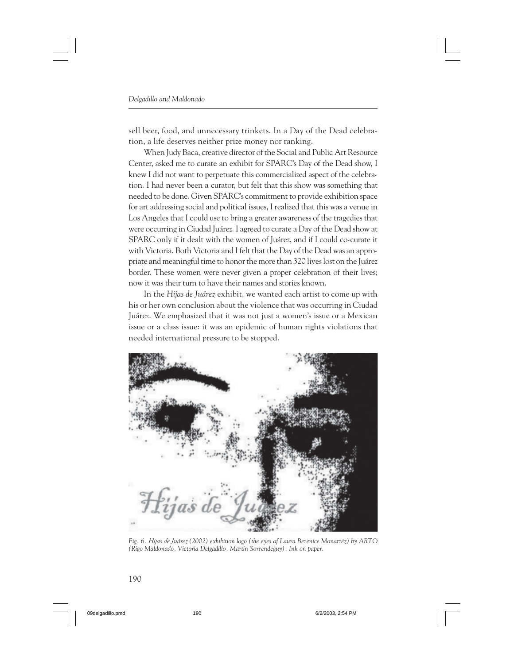sell beer, food, and unnecessary trinkets. In a Day of the Dead celebration, a life deserves neither prize money nor ranking.

When Judy Baca, creative director of the Social and Public Art Resource Center, asked me to curate an exhibit for SPARC's Day of the Dead show, I knew I did not want to perpetuate this commercialized aspect of the celebration. I had never been a curator, but felt that this show was something that needed to be done. Given SPARC's commitment to provide exhibition space for art addressing social and political issues, I realized that this was a venue in Los Angeles that I could use to bring a greater awareness of the tragedies that were occurring in Ciudad Juárez. I agreed to curate a Day of the Dead show at SPARC only if it dealt with the women of Juárez, and if I could co-curate it with Victoria. Both Victoria and I felt that the Day of the Dead was an appropriate and meaningful time to honor the more than 320 lives lost on the Juárez border. These women were never given a proper celebration of their lives; now it was their turn to have their names and stories known.

In the *Hijas de Juárez* exhibit, we wanted each artist to come up with his or her own conclusion about the violence that was occurring in Ciudad Juárez. We emphasized that it was not just a women's issue or a Mexican issue or a class issue: it was an epidemic of human rights violations that needed international pressure to be stopped.



*Fig. 6. Hijas de Juárez (2002) exhibition logo (the eyes of Laura Berenice Monarréz) by ARTO (Rigo Maldonado, Victoria Delgadillo, Martin Sorrendeguy). Ink on paper.*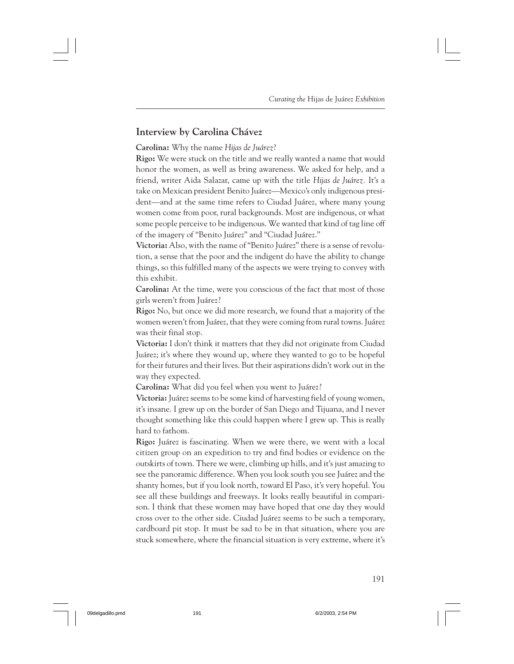## **Interview by Carolina Chávez**

**Carolina:** Why the name *Hijas de Juárez*?

**Rigo:** We were stuck on the title and we really wanted a name that would honor the women, as well as bring awareness. We asked for help, and a friend, writer Aida Salazar, came up with the title *Hijas de Juárez.* It's a take on Mexican president Benito Juárez—Mexico's only indigenous president—and at the same time refers to Ciudad Juárez, where many young women come from poor, rural backgrounds. Most are indigenous, or what some people perceive to be indigenous. We wanted that kind of tag line off of the imagery of "Benito Juárez" and "Ciudad Juárez."

**Victoria:** Also, with the name of "Benito Juárez" there is a sense of revolution, a sense that the poor and the indigent do have the ability to change things, so this fulfilled many of the aspects we were trying to convey with this exhibit.

**Carolina:** At the time, were you conscious of the fact that most of those girls weren't from Juárez?

**Rigo:** No, but once we did more research, we found that a majority of the women weren't from Juárez, that they were coming from rural towns. Juárez was their final stop.

**Victoria:** I don't think it matters that they did not originate from Ciudad Juárez; it's where they wound up, where they wanted to go to be hopeful for their futures and their lives. But their aspirations didn't work out in the way they expected.

**Carolina:** What did you feel when you went to Juárez?

**Victoria:** Juárez seems to be some kind of harvesting field of young women, it's insane. I grew up on the border of San Diego and Tijuana, and I never thought something like this could happen where I grew up. This is really hard to fathom.

**Rigo:** Juárez is fascinating. When we were there, we went with a local citizen group on an expedition to try and find bodies or evidence on the outskirts of town. There we were, climbing up hills, and it's just amazing to see the panoramic difference. When you look south you see Juárez and the shanty homes, but if you look north, toward El Paso, it's very hopeful. You see all these buildings and freeways. It looks really beautiful in comparison. I think that these women may have hoped that one day they would cross over to the other side. Ciudad Juárez seems to be such a temporary, cardboard pit stop. It must be sad to be in that situation, where you are stuck somewhere, where the financial situation is very extreme, where it's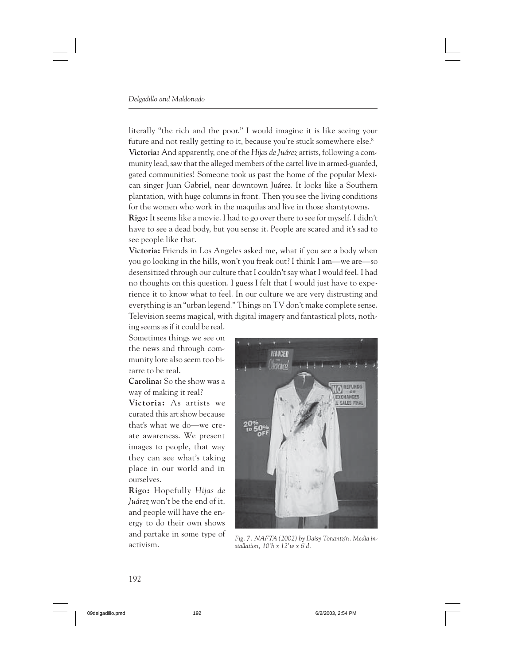literally "the rich and the poor." I would imagine it is like seeing your future and not really getting to it, because you're stuck somewhere else.<sup>8</sup> **Victoria:** And apparently, one of the *Hijas de Juárez* artists, following a community lead, saw that the alleged members of the cartel live in armed-guarded, gated communities! Someone took us past the home of the popular Mexican singer Juan Gabriel, near downtown Juárez. It looks like a Southern plantation, with huge columns in front. Then you see the living conditions for the women who work in the maquilas and live in those shantytowns.

**Rigo:** It seems like a movie. I had to go over there to see for myself. I didn't have to see a dead body, but you sense it. People are scared and it's sad to see people like that.

**Victoria:** Friends in Los Angeles asked me, what if you see a body when you go looking in the hills, won't you freak out? I think I am—we are—so desensitized through our culture that I couldn't say what I would feel. I had no thoughts on this question. I guess I felt that I would just have to experience it to know what to feel. In our culture we are very distrusting and everything is an "urban legend." Things on TV don't make complete sense. Television seems magical, with digital imagery and fantastical plots, nothing seems as if it could be real.

Sometimes things we see on the news and through community lore also seem too bizarre to be real.

**Carolina:** So the show was a way of making it real?

**Victoria:** As artists we curated this art show because that's what we do—we create awareness. We present images to people, that way they can see what's taking place in our world and in ourselves.

**Rigo:** Hopefully *Hijas de Juárez* won't be the end of it, and people will have the energy to do their own shows and partake in some type of activism.



*Fig. 7. NAFTA (2002) by Daisy Tonantzin. Media installation, 10'h x 12'w x 6'd.*

### 192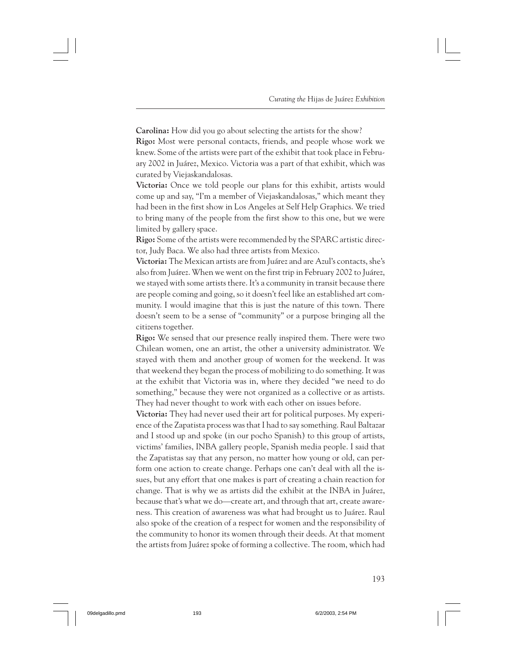**Carolina:** How did you go about selecting the artists for the show? **Rigo:** Most were personal contacts, friends, and people whose work we knew. Some of the artists were part of the exhibit that took place in February 2002 in Juárez, Mexico. Victoria was a part of that exhibit, which was curated by Viejaskandalosas.

**Victoria:** Once we told people our plans for this exhibit, artists would come up and say, "I'm a member of Viejaskandalosas," which meant they had been in the first show in Los Angeles at Self Help Graphics. We tried to bring many of the people from the first show to this one, but we were limited by gallery space.

**Rigo:** Some of the artists were recommended by the SPARC artistic director, Judy Baca. We also had three artists from Mexico.

**Victoria:** The Mexican artists are from Juárez and are Azul's contacts, she's also from Juárez. When we went on the first trip in February 2002 to Juárez, we stayed with some artists there. It's a community in transit because there are people coming and going, so it doesn't feel like an established art community. I would imagine that this is just the nature of this town. There doesn't seem to be a sense of "community" or a purpose bringing all the citizens together.

**Rigo:** We sensed that our presence really inspired them. There were two Chilean women, one an artist, the other a university administrator. We stayed with them and another group of women for the weekend. It was that weekend they began the process of mobilizing to do something. It was at the exhibit that Victoria was in, where they decided "we need to do something," because they were not organized as a collective or as artists. They had never thought to work with each other on issues before.

**Victoria:** They had never used their art for political purposes. My experience of the Zapatista process was that I had to say something. Raul Baltazar and I stood up and spoke (in our pocho Spanish) to this group of artists, victims' families, INBA gallery people, Spanish media people. I said that the Zapatistas say that any person, no matter how young or old, can perform one action to create change. Perhaps one can't deal with all the issues, but any effort that one makes is part of creating a chain reaction for change. That is why we as artists did the exhibit at the INBA in Juárez, because that's what we do—create art, and through that art, create awareness. This creation of awareness was what had brought us to Juárez. Raul also spoke of the creation of a respect for women and the responsibility of the community to honor its women through their deeds. At that moment the artists from Juárez spoke of forming a collective. The room, which had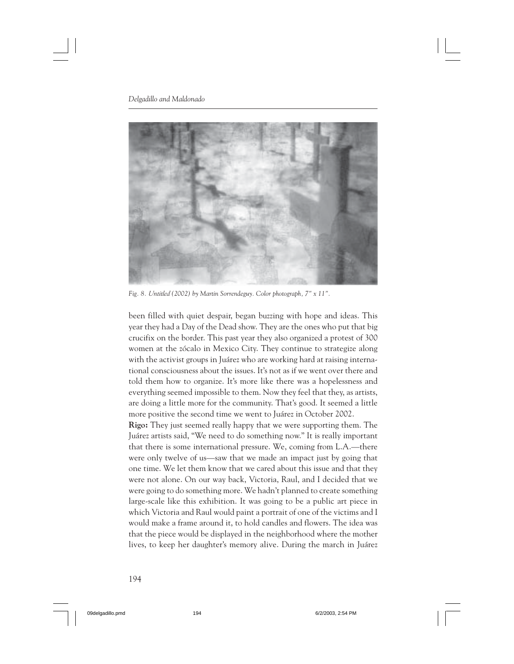

*Fig. 8. Untitled (2002) by Martin Sorrendeguy. Color photograph, 7" x 11".*

been filled with quiet despair, began buzzing with hope and ideas. This year they had a Day of the Dead show. They are the ones who put that big crucifix on the border. This past year they also organized a protest of 300 women at the zócalo in Mexico City. They continue to strategize along with the activist groups in Juárez who are working hard at raising international consciousness about the issues. It's not as if we went over there and told them how to organize. It's more like there was a hopelessness and everything seemed impossible to them. Now they feel that they, as artists, are doing a little more for the community. That's good. It seemed a little more positive the second time we went to Juárez in October 2002.

**Rigo:** They just seemed really happy that we were supporting them. The Juárez artists said, "We need to do something now." It is really important that there is some international pressure. We, coming from L.A.—there were only twelve of us—saw that we made an impact just by going that one time. We let them know that we cared about this issue and that they were not alone. On our way back, Victoria, Raul, and I decided that we were going to do something more. We hadn't planned to create something large-scale like this exhibition. It was going to be a public art piece in which Victoria and Raul would paint a portrait of one of the victims and I would make a frame around it, to hold candles and flowers. The idea was that the piece would be displayed in the neighborhood where the mother lives, to keep her daughter's memory alive. During the march in Juárez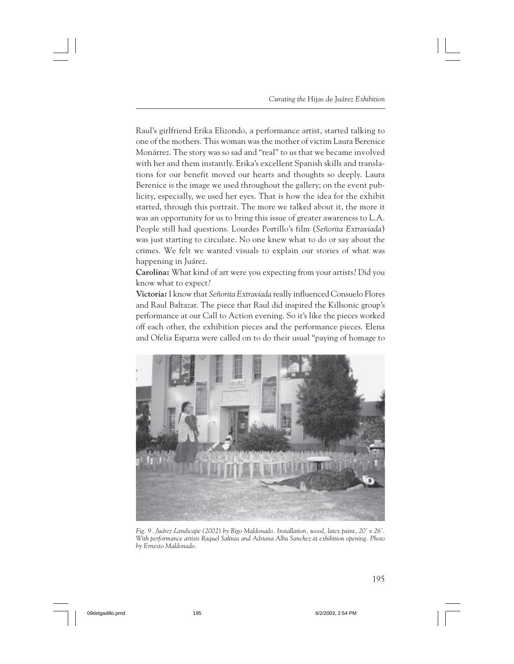Raul's girlfriend Erika Elizondo, a performance artist, started talking to one of the mothers. This woman was the mother of victim Laura Berenice Monárrez. The story was so sad and "real" to us that we became involved with her and them instantly. Erika's excellent Spanish skills and translations for our benefit moved our hearts and thoughts so deeply. Laura Berenice is the image we used throughout the gallery; on the event publicity, especially, we used her eyes. That is how the idea for the exhibit started, through this portrait. The more we talked about it, the more it was an opportunity for us to bring this issue of greater awareness to L.A. People still had questions. Lourdes Portillo's film (*Señorita Extraviada*) was just starting to circulate. No one knew what to do or say about the crimes. We felt we wanted visuals to explain our stories of what was happening in Juárez.

**Carolina:** What kind of art were you expecting from your artists? Did you know what to expect?

**Victoria:** I know that *Señorita Extraviada* really influenced Consuelo Flores and Raul Baltazar. The piece that Raul did inspired the Killsonic group's performance at our Call to Action evening. So it's like the pieces worked off each other, the exhibition pieces and the performance pieces. Elena and Ofelia Esparza were called on to do their usual "paying of homage to



*Fig. 9. Juárez Landscape (2002) by Rigo Maldonado. Installation, wood, latex paint, 20' x 26'. With performance artists Raquel Salinas and Adriana Alba Sanchez at exhibition opening. Photo by Ernesto Maldonado.*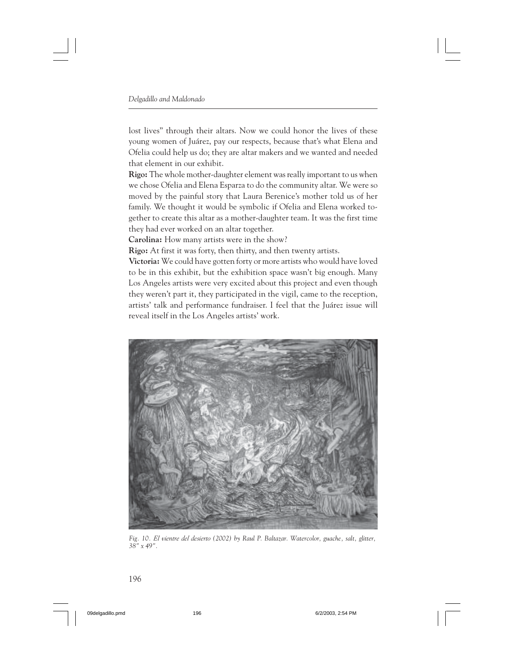lost lives" through their altars. Now we could honor the lives of these young women of Juárez, pay our respects, because that's what Elena and Ofelia could help us do; they are altar makers and we wanted and needed that element in our exhibit.

**Rigo:** The whole mother-daughter element was really important to us when we chose Ofelia and Elena Esparza to do the community altar. We were so moved by the painful story that Laura Berenice's mother told us of her family. We thought it would be symbolic if Ofelia and Elena worked together to create this altar as a mother-daughter team. It was the first time they had ever worked on an altar together.

**Carolina:** How many artists were in the show?

**Rigo:** At first it was forty, then thirty, and then twenty artists.

**Victoria:** We could have gotten forty or more artists who would have loved to be in this exhibit, but the exhibition space wasn't big enough. Many Los Angeles artists were very excited about this project and even though they weren't part it, they participated in the vigil, came to the reception, artists' talk and performance fundraiser. I feel that the Juárez issue will reveal itself in the Los Angeles artists' work.



*Fig. 10. El vientre del desierto (2002) by Raul P. Baltazar. Watercolor, guache, salt, glitter, 38" x 49".*

196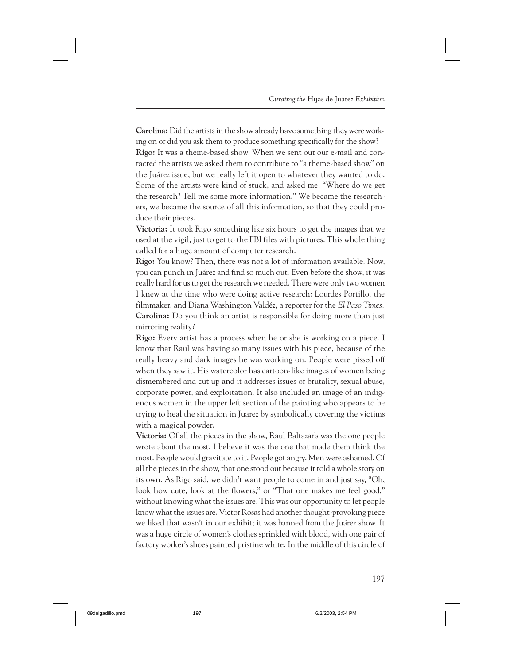**Carolina:** Did the artists in the show already have something they were working on or did you ask them to produce something specifically for the show? **Rigo:** It was a theme-based show. When we sent out our e-mail and contacted the artists we asked them to contribute to "a theme-based show" on the Juárez issue, but we really left it open to whatever they wanted to do. Some of the artists were kind of stuck, and asked me, "Where do we get the research? Tell me some more information." We became the researchers, we became the source of all this information, so that they could pro-

duce their pieces.

**Victoria:** It took Rigo something like six hours to get the images that we used at the vigil, just to get to the FBI files with pictures. This whole thing called for a huge amount of computer research.

**Rigo:** You know? Then, there was not a lot of information available. Now, you can punch in Juárez and find so much out. Even before the show, it was really hard for us to get the research we needed. There were only two women I knew at the time who were doing active research: Lourdes Portillo, the filmmaker, and Diana Washington Valdéz, a reporter for the *El Paso Times*. **Carolina:** Do you think an artist is responsible for doing more than just mirroring reality?

**Rigo:** Every artist has a process when he or she is working on a piece. I know that Raul was having so many issues with his piece, because of the really heavy and dark images he was working on. People were pissed off when they saw it. His watercolor has cartoon-like images of women being dismembered and cut up and it addresses issues of brutality, sexual abuse, corporate power, and exploitation. It also included an image of an indigenous women in the upper left section of the painting who appears to be trying to heal the situation in Juarez by symbolically covering the victims with a magical powder.

**Victoria:** Of all the pieces in the show, Raul Baltazar's was the one people wrote about the most. I believe it was the one that made them think the most. People would gravitate to it. People got angry. Men were ashamed. Of all the pieces in the show, that one stood out because it told a whole story on its own. As Rigo said, we didn't want people to come in and just say, "Oh, look how cute, look at the flowers," or "That one makes me feel good," without knowing what the issues are. This was our opportunity to let people know what the issues are. Victor Rosas had another thought-provoking piece we liked that wasn't in our exhibit; it was banned from the Juárez show. It was a huge circle of women's clothes sprinkled with blood, with one pair of factory worker's shoes painted pristine white. In the middle of this circle of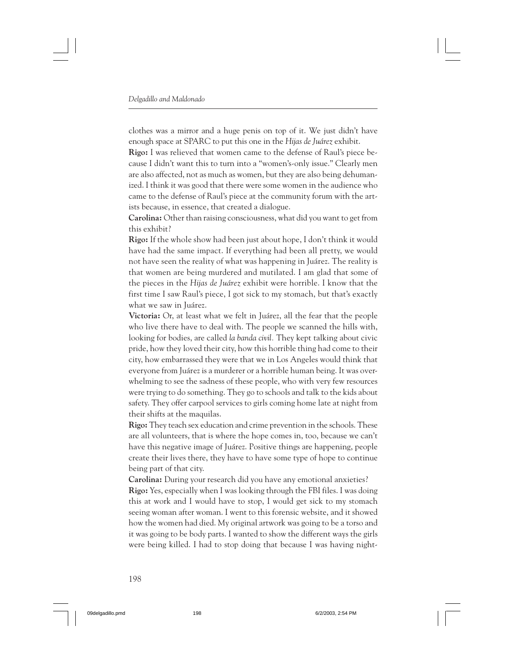clothes was a mirror and a huge penis on top of it. We just didn't have enough space at SPARC to put this one in the *Hijas de Juárez* exhibit.

**Rigo:** I was relieved that women came to the defense of Raul's piece because I didn't want this to turn into a "women's-only issue." Clearly men are also affected, not as much as women, but they are also being dehumanized. I think it was good that there were some women in the audience who came to the defense of Raul's piece at the community forum with the artists because, in essence, that created a dialogue.

**Carolina:** Other than raising consciousness, what did you want to get from this exhibit?

**Rigo:** If the whole show had been just about hope, I don't think it would have had the same impact. If everything had been all pretty, we would not have seen the reality of what was happening in Juárez. The reality is that women are being murdered and mutilated. I am glad that some of the pieces in the *Hijas de Juárez* exhibit were horrible. I know that the first time I saw Raul's piece, I got sick to my stomach, but that's exactly what we saw in Juárez.

**Victoria:** Or, at least what we felt in Juárez, all the fear that the people who live there have to deal with. The people we scanned the hills with, looking for bodies, are called *la banda civil.* They kept talking about civic pride, how they loved their city, how this horrible thing had come to their city, how embarrassed they were that we in Los Angeles would think that everyone from Juárez is a murderer or a horrible human being. It was overwhelming to see the sadness of these people, who with very few resources were trying to do something. They go to schools and talk to the kids about safety. They offer carpool services to girls coming home late at night from their shifts at the maquilas.

**Rigo:** They teach sex education and crime prevention in the schools. These are all volunteers, that is where the hope comes in, too, because we can't have this negative image of Juárez. Positive things are happening, people create their lives there, they have to have some type of hope to continue being part of that city.

**Carolina:** During your research did you have any emotional anxieties? **Rigo:** Yes, especially when I was looking through the FBI files. I was doing this at work and I would have to stop, I would get sick to my stomach seeing woman after woman. I went to this forensic website, and it showed how the women had died. My original artwork was going to be a torso and it was going to be body parts. I wanted to show the different ways the girls were being killed. I had to stop doing that because I was having night-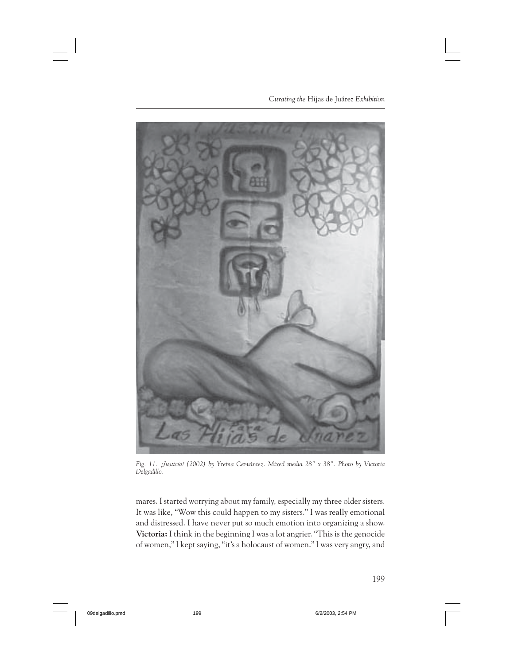*Curating the* Hijas de Juárez *Exhibition*



*Fig. 11. ¡Justicia! (2002) by Yreina Cervántez. Mixed media 28" x 38". Photo by Victoria Delgadillo.*

mares. I started worrying about my family, especially my three older sisters. It was like, "Wow this could happen to my sisters." I was really emotional and distressed. I have never put so much emotion into organizing a show. **Victoria:** I think in the beginning I was a lot angrier. "This is the genocide of women," I kept saying, "it's a holocaust of women." I was very angry, and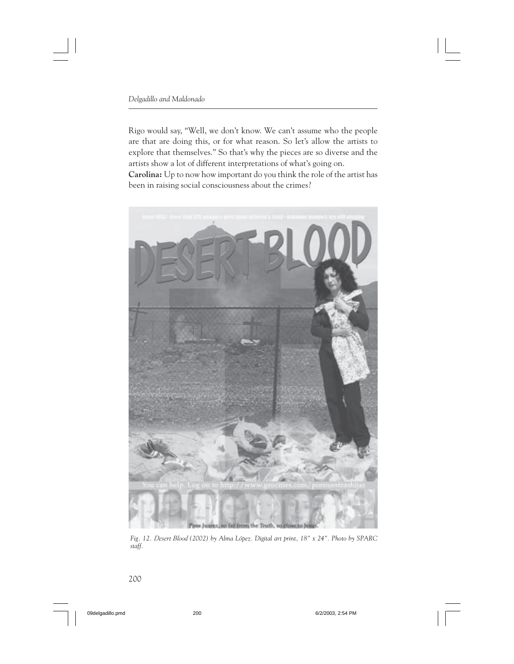Rigo would say, "Well, we don't know. We can't assume who the people are that are doing this, or for what reason. So let's allow the artists to explore that themselves." So that's why the pieces are so diverse and the artists show a lot of different interpretations of what's going on. **Carolina:** Up to now how important do you think the role of the artist has been in raising social consciousness about the crimes?



*Fig. 12. Desert Blood (2002) by Alma López. Digital art print, 18" x 24". Photo by SPARC staff.*

200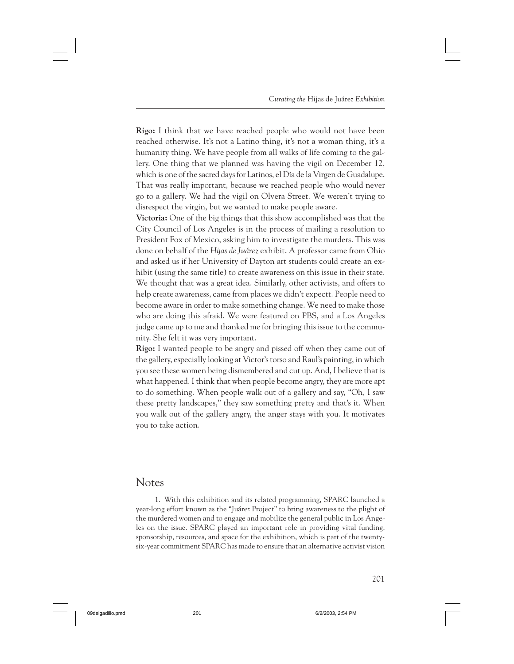**Rigo:** I think that we have reached people who would not have been reached otherwise. It's not a Latino thing, it's not a woman thing, it's a humanity thing. We have people from all walks of life coming to the gallery. One thing that we planned was having the vigil on December 12, which is one of the sacred days for Latinos, el Día de la Virgen de Guadalupe. That was really important, because we reached people who would never go to a gallery. We had the vigil on Olvera Street. We weren't trying to disrespect the virgin, but we wanted to make people aware.

**Victoria:** One of the big things that this show accomplished was that the City Council of Los Angeles is in the process of mailing a resolution to President Fox of Mexico, asking him to investigate the murders. This was done on behalf of the *Hijas de Juárez* exhibit. A professor came from Ohio and asked us if her University of Dayton art students could create an exhibit (using the same title) to create awareness on this issue in their state. We thought that was a great idea. Similarly, other activists, and offers to help create awareness, came from places we didn't expectt. People need to become aware in order to make something change. We need to make those who are doing this afraid. We were featured on PBS, and a Los Angeles judge came up to me and thanked me for bringing this issue to the community. She felt it was very important.

**Rigo:** I wanted people to be angry and pissed off when they came out of the gallery, especially looking at Victor's torso and Raul's painting, in which you see these women being dismembered and cut up. And, I believe that is what happened. I think that when people become angry, they are more apt to do something. When people walk out of a gallery and say, "Oh, I saw these pretty landscapes," they saw something pretty and that's it. When you walk out of the gallery angry, the anger stays with you. It motivates you to take action.

## **Notes**

1. With this exhibition and its related programming, SPARC launched a year-long effort known as the "Juárez Project" to bring awareness to the plight of the murdered women and to engage and mobilize the general public in Los Angeles on the issue. SPARC played an important role in providing vital funding, sponsorship, resources, and space for the exhibition, which is part of the twentysix-year commitment SPARC has made to ensure that an alternative activist vision